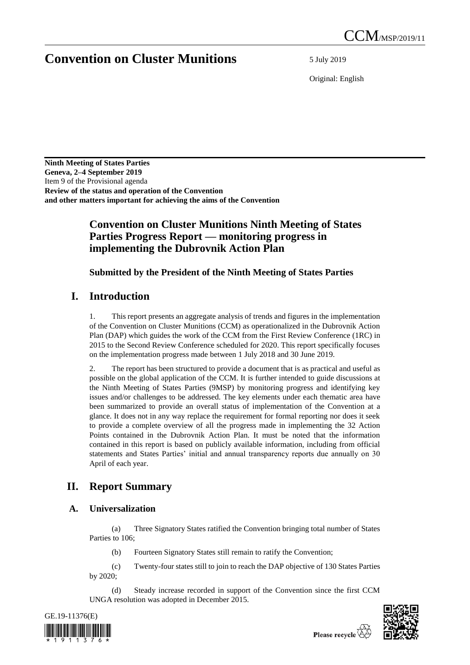# **Convention on Cluster Munitions** 5 July 2019

Original: English

**Ninth Meeting of States Parties Geneva, 2–4 September 2019** Item 9 of the Provisional agenda **Review of the status and operation of the Convention and other matters important for achieving the aims of the Convention**

## **Convention on Cluster Munitions Ninth Meeting of States Parties Progress Report — monitoring progress in implementing the Dubrovnik Action Plan**

**Submitted by the President of the Ninth Meeting of States Parties**

# **I. Introduction**

1. This report presents an aggregate analysis of trends and figures in the implementation of the Convention on Cluster Munitions (CCM) as operationalized in the Dubrovnik Action Plan (DAP) which guides the work of the CCM from the First Review Conference (1RC) in 2015 to the Second Review Conference scheduled for 2020. This report specifically focuses on the implementation progress made between 1 July 2018 and 30 June 2019.

2. The report has been structured to provide a document that is as practical and useful as possible on the global application of the CCM. It is further intended to guide discussions at the Ninth Meeting of States Parties (9MSP) by monitoring progress and identifying key issues and/or challenges to be addressed. The key elements under each thematic area have been summarized to provide an overall status of implementation of the Convention at a glance. It does not in any way replace the requirement for formal reporting nor does it seek to provide a complete overview of all the progress made in implementing the 32 Action Points contained in the Dubrovnik Action Plan. It must be noted that the information contained in this report is based on publicly available information, including from official statements and States Parties' initial and annual transparency reports due annually on 30 April of each year.

# **II. Report Summary**

## **A. Universalization**

(a) Three Signatory States ratified the Convention bringing total number of States Parties to 106;

(b) Fourteen Signatory States still remain to ratify the Convention;

(c) Twenty-four states still to join to reach the DAP objective of 130 States Parties by 2020;

(d) Steady increase recorded in support of the Convention since the first CCM UNGA resolution was adopted in December 2015.



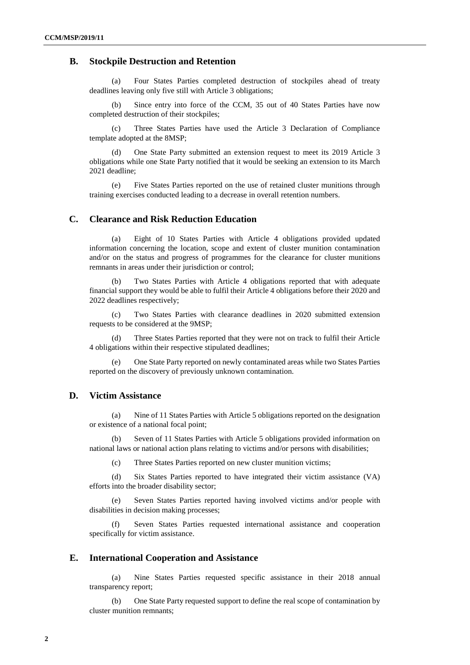### **B. Stockpile Destruction and Retention**

(a) Four States Parties completed destruction of stockpiles ahead of treaty deadlines leaving only five still with Article 3 obligations;

Since entry into force of the CCM, 35 out of 40 States Parties have now completed destruction of their stockpiles;

(c) Three States Parties have used the Article 3 Declaration of Compliance template adopted at the 8MSP;

(d) One State Party submitted an extension request to meet its 2019 Article 3 obligations while one State Party notified that it would be seeking an extension to its March 2021 deadline;

(e) Five States Parties reported on the use of retained cluster munitions through training exercises conducted leading to a decrease in overall retention numbers.

## **C. Clearance and Risk Reduction Education**

(a) Eight of 10 States Parties with Article 4 obligations provided updated information concerning the location, scope and extent of cluster munition contamination and/or on the status and progress of programmes for the clearance for cluster munitions remnants in areas under their jurisdiction or control;

Two States Parties with Article 4 obligations reported that with adequate financial support they would be able to fulfil their Article 4 obligations before their 2020 and 2022 deadlines respectively;

(c) Two States Parties with clearance deadlines in 2020 submitted extension requests to be considered at the 9MSP;

(d) Three States Parties reported that they were not on track to fulfil their Article 4 obligations within their respective stipulated deadlines;

(e) One State Party reported on newly contaminated areas while two States Parties reported on the discovery of previously unknown contamination.

## **D. Victim Assistance**

(a) Nine of 11 States Parties with Article 5 obligations reported on the designation or existence of a national focal point;

Seven of 11 States Parties with Article 5 obligations provided information on national laws or national action plans relating to victims and/or persons with disabilities;

(c) Three States Parties reported on new cluster munition victims;

(d) Six States Parties reported to have integrated their victim assistance (VA) efforts into the broader disability sector;

(e) Seven States Parties reported having involved victims and/or people with disabilities in decision making processes;

(f) Seven States Parties requested international assistance and cooperation specifically for victim assistance.

## **E. International Cooperation and Assistance**

(a) Nine States Parties requested specific assistance in their 2018 annual transparency report;

(b) One State Party requested support to define the real scope of contamination by cluster munition remnants;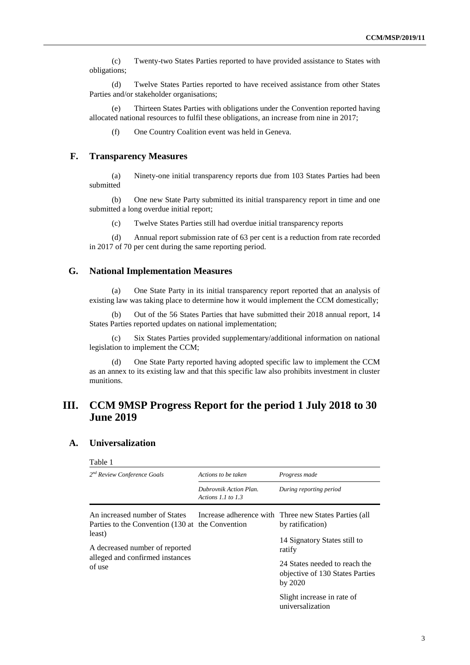(c) Twenty-two States Parties reported to have provided assistance to States with obligations;

(d) Twelve States Parties reported to have received assistance from other States Parties and/or stakeholder organisations;

(e) Thirteen States Parties with obligations under the Convention reported having allocated national resources to fulfil these obligations, an increase from nine in 2017;

(f) One Country Coalition event was held in Geneva.

#### **F. Transparency Measures**

(a) Ninety-one initial transparency reports due from 103 States Parties had been submitted

(b) One new State Party submitted its initial transparency report in time and one submitted a long overdue initial report;

(c) Twelve States Parties still had overdue initial transparency reports

(d) Annual report submission rate of 63 per cent is a reduction from rate recorded in 2017 of 70 per cent during the same reporting period.

## **G. National Implementation Measures**

(a) One State Party in its initial transparency report reported that an analysis of existing law was taking place to determine how it would implement the CCM domestically;

(b) Out of the 56 States Parties that have submitted their 2018 annual report, 14 States Parties reported updates on national implementation;

(c) Six States Parties provided supplementary/additional information on national legislation to implement the CCM;

(d) One State Party reported having adopted specific law to implement the CCM as an annex to its existing law and that this specific law also prohibits investment in cluster munitions.

## **III. CCM 9MSP Progress Report for the period 1 July 2018 to 30 June 2019**

## **A. Universalization**

| Table 1                                                                           |                                                |                                                                             |  |
|-----------------------------------------------------------------------------------|------------------------------------------------|-----------------------------------------------------------------------------|--|
| 2 <sup>nd</sup> Review Conference Goals                                           | Actions to be taken                            | Progress made                                                               |  |
|                                                                                   | Dubrovnik Action Plan.<br>Actions 1.1 to $1.3$ | During reporting period                                                     |  |
| An increased number of States<br>Parties to the Convention (130 at the Convention |                                                | Increase adherence with Three new States Parties (all<br>by ratification)   |  |
| least)<br>A decreased number of reported                                          |                                                | 14 Signatory States still to<br>ratify                                      |  |
| alleged and confirmed instances<br>of use                                         |                                                | 24 States needed to reach the<br>objective of 130 States Parties<br>by 2020 |  |
|                                                                                   |                                                | Slight increase in rate of<br>universalization                              |  |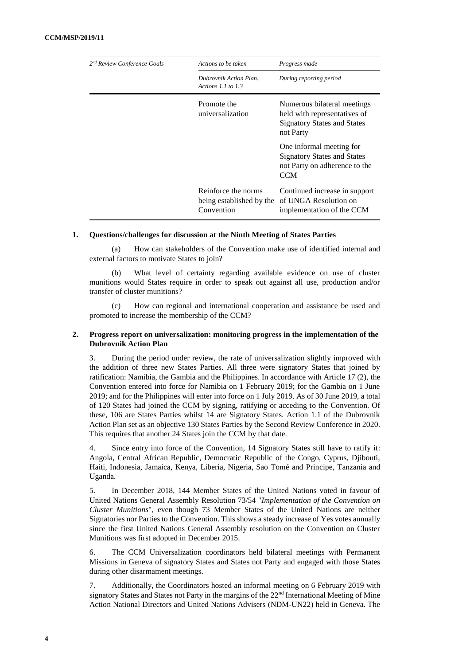| 2 <sup>nd</sup> Review Conference Goals | Actions to be taken                                           | Progress made                                                                                                  |
|-----------------------------------------|---------------------------------------------------------------|----------------------------------------------------------------------------------------------------------------|
|                                         | Dubrovnik Action Plan.<br>Actions 1.1 to $1.3$                | During reporting period                                                                                        |
|                                         | Promote the<br>universalization                               | Numerous bilateral meetings<br>held with representatives of<br><b>Signatory States and States</b><br>not Party |
|                                         |                                                               | One informal meeting for<br><b>Signatory States and States</b><br>not Party on adherence to the<br><b>CCM</b>  |
|                                         | Reinforce the norms<br>being established by the<br>Convention | Continued increase in support<br>of UNGA Resolution on<br>implementation of the CCM                            |

(a) How can stakeholders of the Convention make use of identified internal and external factors to motivate States to join?

What level of certainty regarding available evidence on use of cluster munitions would States require in order to speak out against all use, production and/or transfer of cluster munitions?

(c) How can regional and international cooperation and assistance be used and promoted to increase the membership of the CCM?

#### **2. Progress report on universalization: monitoring progress in the implementation of the Dubrovnik Action Plan**

3. During the period under review, the rate of universalization slightly improved with the addition of three new States Parties. All three were signatory States that joined by ratification: Namibia, the Gambia and the Philippines. In accordance with Article 17 (2), the Convention entered into force for Namibia on 1 February 2019; for the Gambia on 1 June 2019; and for the Philippines will enter into force on 1 July 2019. As of 30 June 2019, a total of 120 States had joined the CCM by signing, ratifying or acceding to the Convention. Of these, 106 are States Parties whilst 14 are Signatory States. Action 1.1 of the Dubrovnik Action Plan set as an objective 130 States Parties by the Second Review Conference in 2020. This requires that another 24 States join the CCM by that date.

4. Since entry into force of the Convention, 14 Signatory States still have to ratify it: Angola, Central African Republic, Democratic Republic of the Congo, Cyprus, Djibouti, Haiti, Indonesia, Jamaica, Kenya, Liberia, Nigeria, Sao Tomé and Principe, Tanzania and Uganda.

5. In December 2018, 144 Member States of the United Nations voted in favour of United Nations General Assembly Resolution 73/54 "*Implementation of the Convention on Cluster Munitions*", even though 73 Member States of the United Nations are neither Signatories nor Parties to the Convention. This shows a steady increase of Yes votes annually since the first United Nations General Assembly resolution on the Convention on Cluster Munitions was first adopted in December 2015.

6. The CCM Universalization coordinators held bilateral meetings with Permanent Missions in Geneva of signatory States and States not Party and engaged with those States during other disarmament meetings.

7. Additionally, the Coordinators hosted an informal meeting on 6 February 2019 with signatory States and States not Party in the margins of the 22<sup>nd</sup> International Meeting of Mine Action National Directors and United Nations Advisers (NDM-UN22) held in Geneva. The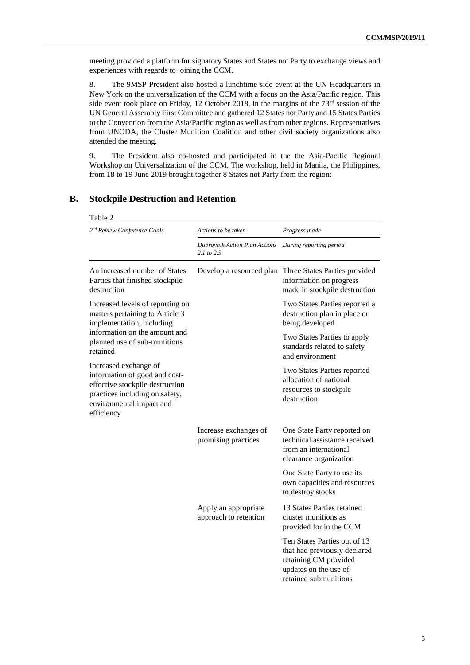meeting provided a platform for signatory States and States not Party to exchange views and experiences with regards to joining the CCM.

8. The 9MSP President also hosted a lunchtime side event at the UN Headquarters in New York on the universalization of the CCM with a focus on the Asia/Pacific region. This side event took place on Friday, 12 October 2018, in the margins of the  $73<sup>rd</sup>$  session of the UN General Assembly First Committee and gathered 12 States not Party and 15 States Parties to the Convention from the Asia/Pacific region as well as from other regions. Representatives from UNODA, the Cluster Munition Coalition and other civil society organizations also attended the meeting.

9. The President also co-hosted and participated in the the Asia-Pacific Regional Workshop on Universalization of the CCM. The workshop, held in Manila, the Philippines, from 18 to 19 June 2019 brought together 8 States not Party from the region:

| Table 2                                                                                                                                                               |                                                 |                                                                                                                                         |
|-----------------------------------------------------------------------------------------------------------------------------------------------------------------------|-------------------------------------------------|-----------------------------------------------------------------------------------------------------------------------------------------|
| 2 <sup>nd</sup> Review Conference Goals                                                                                                                               | Actions to be taken                             | Progress made                                                                                                                           |
|                                                                                                                                                                       | Dubrovnik Action Plan Actions<br>$2.1$ to $2.5$ | During reporting period                                                                                                                 |
| An increased number of States<br>Parties that finished stockpile<br>destruction                                                                                       | Develop a resourced plan                        | Three States Parties provided<br>information on progress<br>made in stockpile destruction                                               |
| Increased levels of reporting on<br>matters pertaining to Article 3<br>implementation, including                                                                      |                                                 | Two States Parties reported a<br>destruction plan in place or<br>being developed                                                        |
| information on the amount and<br>planned use of sub-munitions<br>retained                                                                                             |                                                 | Two States Parties to apply<br>standards related to safety<br>and environment                                                           |
| Increased exchange of<br>information of good and cost-<br>effective stockpile destruction<br>practices including on safety,<br>environmental impact and<br>efficiency |                                                 | Two States Parties reported<br>allocation of national<br>resources to stockpile<br>destruction                                          |
|                                                                                                                                                                       | Increase exchanges of<br>promising practices    | One State Party reported on<br>technical assistance received<br>from an international<br>clearance organization                         |
|                                                                                                                                                                       |                                                 | One State Party to use its<br>own capacities and resources<br>to destroy stocks                                                         |
|                                                                                                                                                                       | Apply an appropriate<br>approach to retention   | 13 States Parties retained<br>cluster munitions as<br>provided for in the CCM                                                           |
|                                                                                                                                                                       |                                                 | Ten States Parties out of 13<br>that had previously declared<br>retaining CM provided<br>updates on the use of<br>retained submunitions |

## **B. Stockpile Destruction and Retention**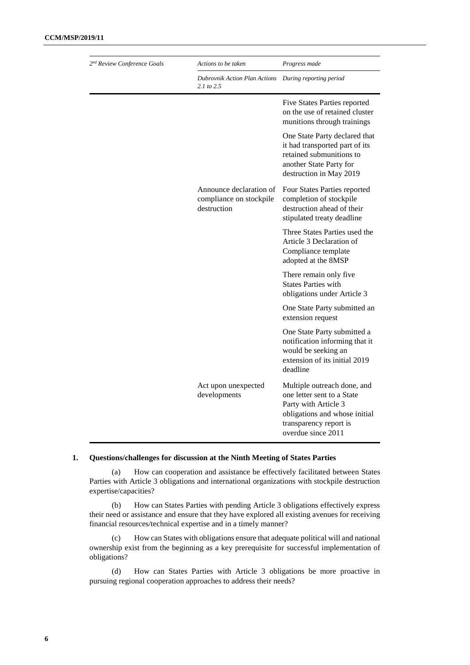| 2 <sup>nd</sup> Review Conference Goals | Actions to be taken                                               | Progress made                                                                                                                                                      |
|-----------------------------------------|-------------------------------------------------------------------|--------------------------------------------------------------------------------------------------------------------------------------------------------------------|
|                                         | Dubrovnik Action Plan Actions<br>$2.1 \text{ to } 2.5$            | During reporting period                                                                                                                                            |
|                                         |                                                                   | Five States Parties reported<br>on the use of retained cluster<br>munitions through trainings                                                                      |
|                                         |                                                                   | One State Party declared that<br>it had transported part of its<br>retained submunitions to<br>another State Party for<br>destruction in May 2019                  |
|                                         | Announce declaration of<br>compliance on stockpile<br>destruction | Four States Parties reported<br>completion of stockpile<br>destruction ahead of their<br>stipulated treaty deadline                                                |
|                                         |                                                                   | Three States Parties used the<br>Article 3 Declaration of<br>Compliance template<br>adopted at the 8MSP                                                            |
|                                         |                                                                   | There remain only five<br><b>States Parties with</b><br>obligations under Article 3                                                                                |
|                                         |                                                                   | One State Party submitted an<br>extension request                                                                                                                  |
|                                         |                                                                   | One State Party submitted a<br>notification informing that it<br>would be seeking an<br>extension of its initial 2019<br>deadline                                  |
|                                         | Act upon unexpected<br>developments                               | Multiple outreach done, and<br>one letter sent to a State<br>Party with Article 3<br>obligations and whose initial<br>transparency report is<br>overdue since 2011 |

(a) How can cooperation and assistance be effectively facilitated between States Parties with Article 3 obligations and international organizations with stockpile destruction expertise/capacities?

(b) How can States Parties with pending Article 3 obligations effectively express their need or assistance and ensure that they have explored all existing avenues for receiving financial resources/technical expertise and in a timely manner?

(c) How can States with obligations ensure that adequate political will and national ownership exist from the beginning as a key prerequisite for successful implementation of obligations?

(d) How can States Parties with Article 3 obligations be more proactive in pursuing regional cooperation approaches to address their needs?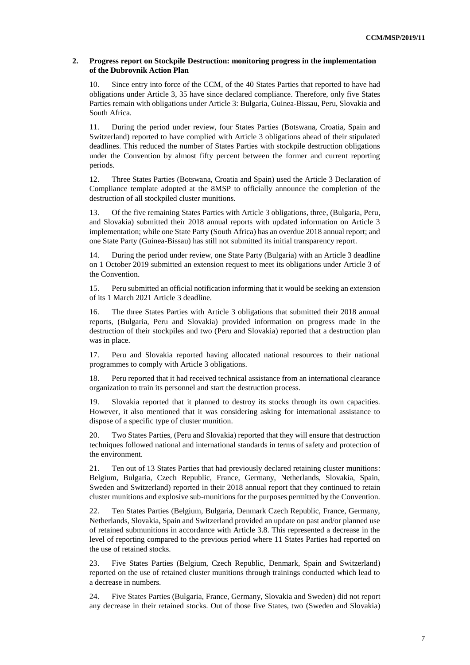#### **2. Progress report on Stockpile Destruction: monitoring progress in the implementation of the Dubrovnik Action Plan**

10. Since entry into force of the CCM, of the 40 States Parties that reported to have had obligations under Article 3, 35 have since declared compliance. Therefore, only five States Parties remain with obligations under Article 3: Bulgaria, Guinea-Bissau, Peru, Slovakia and South Africa.

11. During the period under review, four States Parties (Botswana, Croatia, Spain and Switzerland) reported to have complied with Article 3 obligations ahead of their stipulated deadlines. This reduced the number of States Parties with stockpile destruction obligations under the Convention by almost fifty percent between the former and current reporting periods.

12. Three States Parties (Botswana, Croatia and Spain) used the Article 3 Declaration of Compliance template adopted at the 8MSP to officially announce the completion of the destruction of all stockpiled cluster munitions.

13. Of the five remaining States Parties with Article 3 obligations, three, (Bulgaria, Peru, and Slovakia) submitted their 2018 annual reports with updated information on Article 3 implementation; while one State Party (South Africa) has an overdue 2018 annual report; and one State Party (Guinea-Bissau) has still not submitted its initial transparency report.

14. During the period under review, one State Party (Bulgaria) with an Article 3 deadline on 1 October 2019 submitted an extension request to meet its obligations under Article 3 of the Convention.

15. Peru submitted an official notification informing that it would be seeking an extension of its 1 March 2021 Article 3 deadline.

16. The three States Parties with Article 3 obligations that submitted their 2018 annual reports, (Bulgaria, Peru and Slovakia) provided information on progress made in the destruction of their stockpiles and two (Peru and Slovakia) reported that a destruction plan was in place.

17. Peru and Slovakia reported having allocated national resources to their national programmes to comply with Article 3 obligations.

18. Peru reported that it had received technical assistance from an international clearance organization to train its personnel and start the destruction process.

19. Slovakia reported that it planned to destroy its stocks through its own capacities. However, it also mentioned that it was considering asking for international assistance to dispose of a specific type of cluster munition.

20. Two States Parties, (Peru and Slovakia) reported that they will ensure that destruction techniques followed national and international standards in terms of safety and protection of the environment.

21. Ten out of 13 States Parties that had previously declared retaining cluster munitions: Belgium, Bulgaria, Czech Republic, France, Germany, Netherlands, Slovakia, Spain, Sweden and Switzerland) reported in their 2018 annual report that they continued to retain cluster munitions and explosive sub-munitions for the purposes permitted by the Convention.

22. Ten States Parties (Belgium, Bulgaria, Denmark Czech Republic, France, Germany, Netherlands, Slovakia, Spain and Switzerland provided an update on past and/or planned use of retained submunitions in accordance with Article 3.8. This represented a decrease in the level of reporting compared to the previous period where 11 States Parties had reported on the use of retained stocks.

23. Five States Parties (Belgium, Czech Republic, Denmark, Spain and Switzerland) reported on the use of retained cluster munitions through trainings conducted which lead to a decrease in numbers.

24. Five States Parties (Bulgaria, France, Germany, Slovakia and Sweden) did not report any decrease in their retained stocks. Out of those five States, two (Sweden and Slovakia)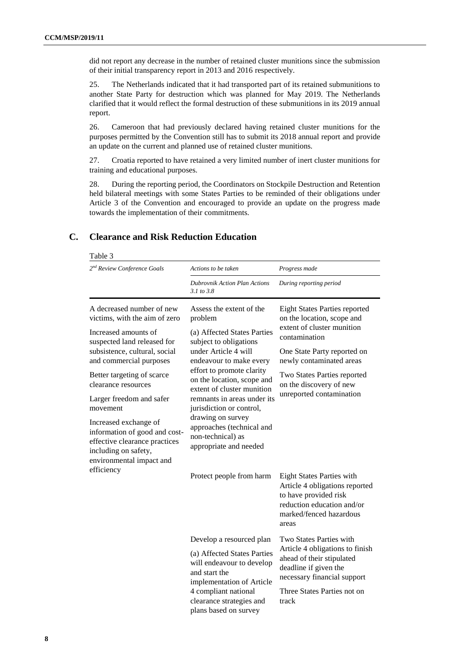did not report any decrease in the number of retained cluster munitions since the submission of their initial transparency report in 2013 and 2016 respectively.

25. The Netherlands indicated that it had transported part of its retained submunitions to another State Party for destruction which was planned for May 2019. The Netherlands clarified that it would reflect the formal destruction of these submunitions in its 2019 annual report.

26. Cameroon that had previously declared having retained cluster munitions for the purposes permitted by the Convention still has to submit its 2018 annual report and provide an update on the current and planned use of retained cluster munitions.

27. Croatia reported to have retained a very limited number of inert cluster munitions for training and educational purposes.

28. During the reporting period, the Coordinators on Stockpile Destruction and Retention held bilateral meetings with some States Parties to be reminded of their obligations under Article 3 of the Convention and encouraged to provide an update on the progress made towards the implementation of their commitments.

### **C. Clearance and Risk Reduction Education**

Table 3

| 2 <sup>nd</sup> Review Conference Goals                                                                                                                                                                                                                                                                                                                                                       | Actions to be taken                                                                                                                                                                                                                                                                                                                                                                                  | Progress made                                                                                                                                                                                                                                                      |
|-----------------------------------------------------------------------------------------------------------------------------------------------------------------------------------------------------------------------------------------------------------------------------------------------------------------------------------------------------------------------------------------------|------------------------------------------------------------------------------------------------------------------------------------------------------------------------------------------------------------------------------------------------------------------------------------------------------------------------------------------------------------------------------------------------------|--------------------------------------------------------------------------------------------------------------------------------------------------------------------------------------------------------------------------------------------------------------------|
|                                                                                                                                                                                                                                                                                                                                                                                               | <b>Dubrovnik Action Plan Actions</b><br>3.1 to 3.8                                                                                                                                                                                                                                                                                                                                                   | During reporting period                                                                                                                                                                                                                                            |
| A decreased number of new<br>victims, with the aim of zero<br>Increased amounts of<br>suspected land released for<br>subsistence, cultural, social<br>and commercial purposes<br>Better targeting of scarce<br>clearance resources<br>Larger freedom and safer<br>movement<br>Increased exchange of<br>information of good and cost-<br>effective clearance practices<br>including on safety, | Assess the extent of the<br>problem<br>(a) Affected States Parties<br>subject to obligations<br>under Article 4 will<br>endeavour to make every<br>effort to promote clarity<br>on the location, scope and<br>extent of cluster munition<br>remnants in areas under its<br>jurisdiction or control,<br>drawing on survey<br>approaches (technical and<br>non-technical) as<br>appropriate and needed | <b>Eight States Parties reported</b><br>on the location, scope and<br>extent of cluster munition<br>contamination<br>One State Party reported on<br>newly contaminated areas<br>Two States Parties reported<br>on the discovery of new<br>unreported contamination |
| environmental impact and<br>efficiency                                                                                                                                                                                                                                                                                                                                                        | Protect people from harm                                                                                                                                                                                                                                                                                                                                                                             | <b>Eight States Parties with</b><br>Article 4 obligations reported<br>to have provided risk<br>reduction education and/or<br>marked/fenced hazardous<br>areas                                                                                                      |
|                                                                                                                                                                                                                                                                                                                                                                                               | Develop a resourced plan<br>(a) Affected States Parties<br>will endeavour to develop<br>and start the<br>implementation of Article<br>4 compliant national<br>clearance strategies and<br>plans based on survey                                                                                                                                                                                      | Two States Parties with<br>Article 4 obligations to finish<br>ahead of their stipulated<br>deadline if given the<br>necessary financial support<br>Three States Parties not on<br>track                                                                            |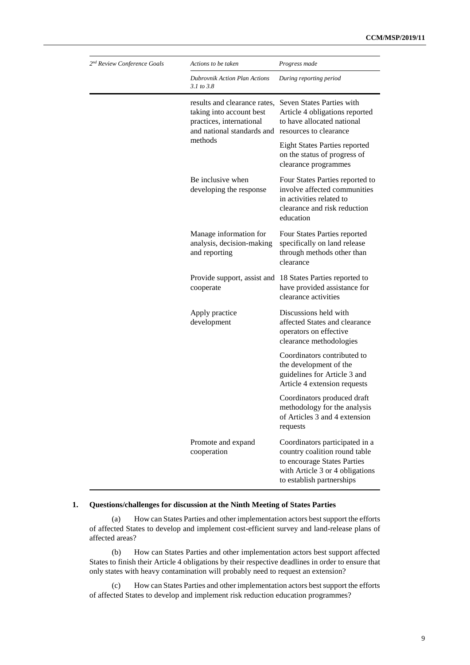| 2 <sup>nd</sup> Review Conference Goals | Actions to be taken                                                                                                | Progress made                                                                                                                                                  |
|-----------------------------------------|--------------------------------------------------------------------------------------------------------------------|----------------------------------------------------------------------------------------------------------------------------------------------------------------|
|                                         | <b>Dubrovnik Action Plan Actions</b><br>3.1 to 3.8                                                                 | During reporting period                                                                                                                                        |
|                                         | results and clearance rates,<br>taking into account best<br>practices, international<br>and national standards and | Seven States Parties with<br>Article 4 obligations reported<br>to have allocated national<br>resources to clearance                                            |
|                                         | methods                                                                                                            | <b>Eight States Parties reported</b><br>on the status of progress of<br>clearance programmes                                                                   |
|                                         | Be inclusive when<br>developing the response                                                                       | Four States Parties reported to<br>involve affected communities<br>in activities related to<br>clearance and risk reduction<br>education                       |
|                                         | Manage information for<br>analysis, decision-making<br>and reporting                                               | Four States Parties reported<br>specifically on land release<br>through methods other than<br>clearance                                                        |
|                                         | Provide support, assist and<br>cooperate                                                                           | 18 States Parties reported to<br>have provided assistance for<br>clearance activities                                                                          |
|                                         | Apply practice<br>development                                                                                      | Discussions held with<br>affected States and clearance<br>operators on effective<br>clearance methodologies                                                    |
|                                         |                                                                                                                    | Coordinators contributed to<br>the development of the<br>guidelines for Article 3 and<br>Article 4 extension requests                                          |
|                                         |                                                                                                                    | Coordinators produced draft<br>methodology for the analysis<br>of Articles 3 and 4 extension<br>requests                                                       |
|                                         | Promote and expand<br>cooperation                                                                                  | Coordinators participated in a<br>country coalition round table<br>to encourage States Parties<br>with Article 3 or 4 obligations<br>to establish partnerships |

(a) How can States Parties and other implementation actors best support the efforts of affected States to develop and implement cost-efficient survey and land-release plans of affected areas?

(b) How can States Parties and other implementation actors best support affected States to finish their Article 4 obligations by their respective deadlines in order to ensure that only states with heavy contamination will probably need to request an extension?

(c) How can States Parties and other implementation actors best support the efforts of affected States to develop and implement risk reduction education programmes?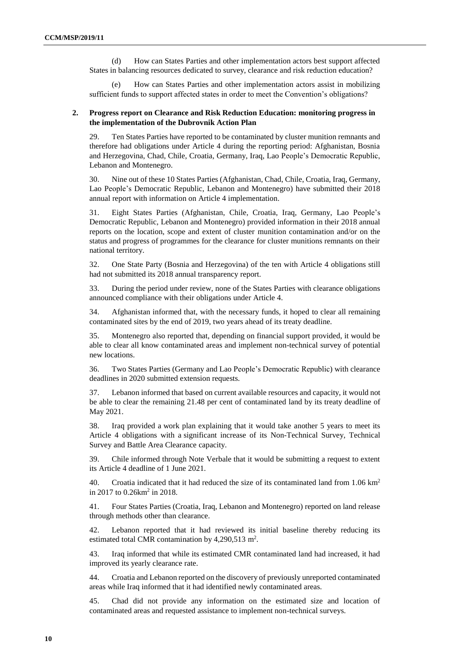(d) How can States Parties and other implementation actors best support affected States in balancing resources dedicated to survey, clearance and risk reduction education?

How can States Parties and other implementation actors assist in mobilizing sufficient funds to support affected states in order to meet the Convention's obligations?

#### **2. Progress report on Clearance and Risk Reduction Education: monitoring progress in the implementation of the Dubrovnik Action Plan**

29. Ten States Parties have reported to be contaminated by cluster munition remnants and therefore had obligations under Article 4 during the reporting period: Afghanistan, Bosnia and Herzegovina, Chad, Chile, Croatia, Germany, Iraq, Lao People's Democratic Republic, Lebanon and Montenegro.

30. Nine out of these 10 States Parties (Afghanistan, Chad, Chile, Croatia, Iraq, Germany, Lao People's Democratic Republic, Lebanon and Montenegro) have submitted their 2018 annual report with information on Article 4 implementation.

31. Eight States Parties (Afghanistan, Chile, Croatia, Iraq, Germany, Lao People's Democratic Republic, Lebanon and Montenegro) provided information in their 2018 annual reports on the location, scope and extent of cluster munition contamination and/or on the status and progress of programmes for the clearance for cluster munitions remnants on their national territory.

32. One State Party (Bosnia and Herzegovina) of the ten with Article 4 obligations still had not submitted its 2018 annual transparency report.

33. During the period under review, none of the States Parties with clearance obligations announced compliance with their obligations under Article 4.

34. Afghanistan informed that, with the necessary funds, it hoped to clear all remaining contaminated sites by the end of 2019, two years ahead of its treaty deadline.

35. Montenegro also reported that, depending on financial support provided, it would be able to clear all know contaminated areas and implement non-technical survey of potential new locations.

36. Two States Parties (Germany and Lao People's Democratic Republic) with clearance deadlines in 2020 submitted extension requests.

37. Lebanon informed that based on current available resources and capacity, it would not be able to clear the remaining 21.48 per cent of contaminated land by its treaty deadline of May 2021.

38. Iraq provided a work plan explaining that it would take another 5 years to meet its Article 4 obligations with a significant increase of its Non-Technical Survey, Technical Survey and Battle Area Clearance capacity.

39. Chile informed through Note Verbale that it would be submitting a request to extent its Article 4 deadline of 1 June 2021.

40. Croatia indicated that it had reduced the size of its contaminated land from  $1.06 \text{ km}^2$ in 2017 to 0.26km<sup>2</sup> in 2018.

41. Four States Parties (Croatia, Iraq, Lebanon and Montenegro) reported on land release through methods other than clearance.

42. Lebanon reported that it had reviewed its initial baseline thereby reducing its estimated total CMR contamination by  $4,290,513$  m<sup>2</sup>.

43. Iraq informed that while its estimated CMR contaminated land had increased, it had improved its yearly clearance rate.

44. Croatia and Lebanon reported on the discovery of previously unreported contaminated areas while Iraq informed that it had identified newly contaminated areas.

45. Chad did not provide any information on the estimated size and location of contaminated areas and requested assistance to implement non-technical surveys.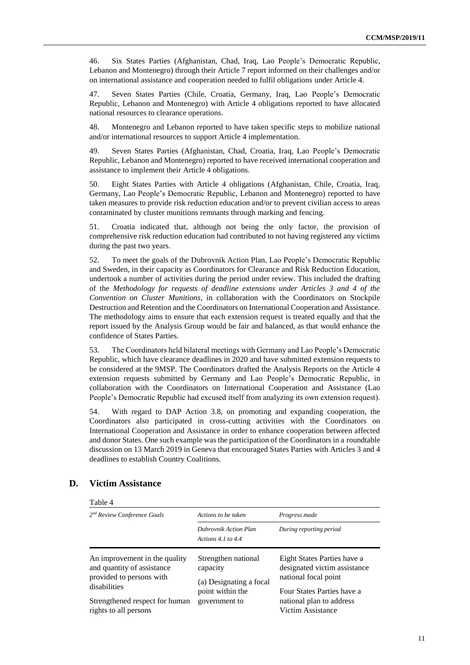46. Six States Parties (Afghanistan, Chad, Iraq, Lao People's Democratic Republic, Lebanon and Montenegro) through their Article 7 report informed on their challenges and/or on international assistance and cooperation needed to fulfil obligations under Article 4.

47. Seven States Parties (Chile, Croatia, Germany, Iraq, Lao People's Democratic Republic, Lebanon and Montenegro) with Article 4 obligations reported to have allocated national resources to clearance operations.

48. Montenegro and Lebanon reported to have taken specific steps to mobilize national and/or international resources to support Article 4 implementation.

49. Seven States Parties (Afghanistan, Chad, Croatia, Iraq, Lao People's Democratic Republic, Lebanon and Montenegro) reported to have received international cooperation and assistance to implement their Article 4 obligations.

50. Eight States Parties with Article 4 obligations (Afghanistan, Chile, Croatia, Iraq, Germany, Lao People's Democratic Republic, Lebanon and Montenegro) reported to have taken measures to provide risk reduction education and/or to prevent civilian access to areas contaminated by cluster munitions remnants through marking and fencing.

51. Croatia indicated that, although not being the only factor, the provision of comprehensive risk reduction education had contributed to not having registered any victims during the past two years.

52. To meet the goals of the Dubrovnik Action Plan, Lao People's Democratic Republic and Sweden, in their capacity as Coordinators for Clearance and Risk Reduction Education, undertook a number of activities during the period under review. This included the drafting of the *Methodology for requests of deadline extensions under Articles 3 and 4 of the Convention on Cluster Munitions*, in collaboration with the Coordinators on Stockpile Destruction and Retention and the Coordinators on International Cooperation and Assistance. The methodology aims to ensure that each extension request is treated equally and that the report issued by the Analysis Group would be fair and balanced, as that would enhance the confidence of States Parties.

53. The Coordinators held bilateral meetings with Germany and Lao People's Democratic Republic, which have clearance deadlines in 2020 and have submitted extension requests to be considered at the 9MSP. The Coordinators drafted the Analysis Reports on the Article 4 extension requests submitted by Germany and Lao People's Democratic Republic, in collaboration with the Coordinators on International Cooperation and Assistance (Lao People's Democratic Republic had excused itself from analyzing its own extension request).

54. With regard to DAP Action 3.8, on promoting and expanding cooperation, the Coordinators also participated in cross-cutting activities with the Coordinators on International Cooperation and Assistance in order to enhance cooperation between affected and donor States. One such example was the participation of the Coordinators in a roundtable discussion on 13 March 2019 in Geneva that encouraged States Parties with Articles 3 and 4 deadlines to establish Country Coalitions.

#### Table 4 *2 nd Review Conference Goals Actions to be taken Progress made Dubrovnik Action Plan Actions 4.1 to 4.4 During reporting period* An improvement in the quality and quantity of assistance provided to persons with disabilities Strengthened respect for human rights to all persons Strengthen national capacity (a) Designating a focal point within the government to Eight States Parties have a designated victim assistance national focal point Four States Parties have a national plan to address Victim Assistance

## **D. Victim Assistance**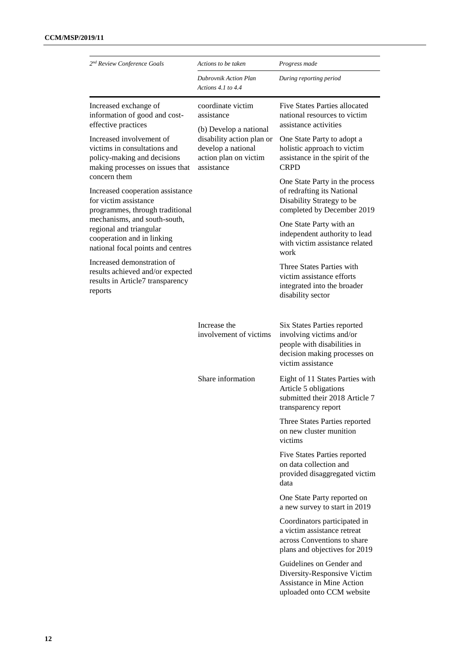| 2 <sup>nd</sup> Review Conference Goals                                                                                    | Actions to be taken                                                                                                             | Progress made                                                                                                                               |
|----------------------------------------------------------------------------------------------------------------------------|---------------------------------------------------------------------------------------------------------------------------------|---------------------------------------------------------------------------------------------------------------------------------------------|
|                                                                                                                            | Dubrovnik Action Plan<br>Actions 4.1 to $4.4$                                                                                   | During reporting period                                                                                                                     |
| Increased exchange of<br>information of good and cost-<br>effective practices                                              | coordinate victim<br>assistance                                                                                                 | <b>Five States Parties allocated</b><br>national resources to victim<br>assistance activities                                               |
| Increased involvement of<br>victims in consultations and<br>policy-making and decisions<br>making processes on issues that | (b) Develop a national<br>disability action plan or<br>develop a national<br>action plan on victim<br>assistance<br><b>CRPD</b> | One State Party to adopt a<br>holistic approach to victim<br>assistance in the spirit of the                                                |
| concern them<br>Increased cooperation assistance<br>for victim assistance<br>programmes, through traditional               |                                                                                                                                 | One State Party in the process<br>of redrafting its National<br>Disability Strategy to be<br>completed by December 2019                     |
| mechanisms, and south-south,<br>regional and triangular<br>cooperation and in linking<br>national focal points and centres | work<br>disability sector                                                                                                       | One State Party with an<br>independent authority to lead<br>with victim assistance related                                                  |
| Increased demonstration of<br>results achieved and/or expected<br>results in Article7 transparency<br>reports              |                                                                                                                                 | Three States Parties with<br>victim assistance efforts<br>integrated into the broader                                                       |
|                                                                                                                            | Increase the<br>involvement of victims                                                                                          | Six States Parties reported<br>involving victims and/or<br>people with disabilities in<br>decision making processes on<br>victim assistance |
|                                                                                                                            | Share information<br>Article 5 obligations<br>transparency report<br>on new cluster munition<br>victims                         | Eight of 11 States Parties with<br>submitted their 2018 Article 7                                                                           |
|                                                                                                                            |                                                                                                                                 | Three States Parties reported                                                                                                               |
|                                                                                                                            |                                                                                                                                 | Five States Parties reported<br>on data collection and<br>provided disaggregated victim<br>data                                             |
|                                                                                                                            |                                                                                                                                 | One State Party reported on<br>a new survey to start in 2019                                                                                |
|                                                                                                                            |                                                                                                                                 | Coordinators participated in<br>a victim assistance retreat<br>across Conventions to share<br>plans and objectives for 2019                 |
|                                                                                                                            |                                                                                                                                 | Guidelines on Gender and<br>Diversity-Responsive Victim<br>Assistance in Mine Action<br>uploaded onto CCM website                           |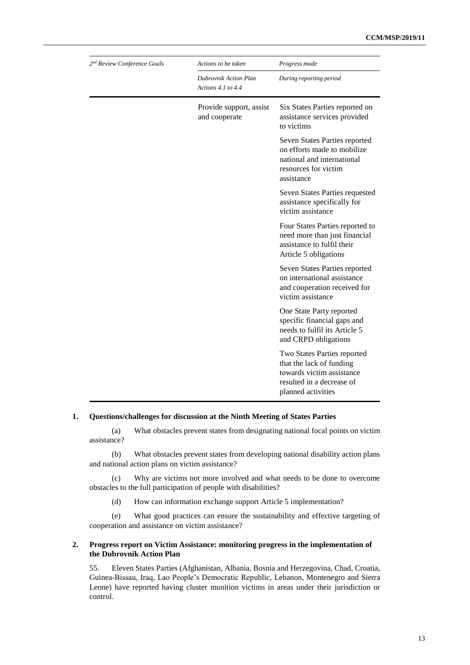| 2 <sup>nd</sup> Review Conference Goals | Actions to be taken                                  | Progress made                                                                                                                           |
|-----------------------------------------|------------------------------------------------------|-----------------------------------------------------------------------------------------------------------------------------------------|
|                                         | <b>Dubrovnik Action Plan</b><br>Actions 4.1 to $4.4$ | During reporting period                                                                                                                 |
|                                         | Provide support, assist<br>and cooperate             | Six States Parties reported on<br>assistance services provided<br>to victims                                                            |
|                                         |                                                      | Seven States Parties reported<br>on efforts made to mobilize<br>national and international<br>resources for victim<br>assistance        |
|                                         |                                                      | Seven States Parties requested<br>assistance specifically for<br>victim assistance                                                      |
|                                         |                                                      | Four States Parties reported to<br>need more than just financial<br>assistance to fulfil their<br>Article 5 obligations                 |
|                                         |                                                      | Seven States Parties reported<br>on international assistance<br>and cooperation received for<br>victim assistance                       |
|                                         |                                                      | One State Party reported<br>specific financial gaps and<br>needs to fulfil its Article 5<br>and CRPD obligations                        |
|                                         |                                                      | Two States Parties reported<br>that the lack of funding<br>towards victim assistance<br>resulted in a decrease of<br>planned activities |

(a) What obstacles prevent states from designating national focal points on victim assistance?

(b) What obstacles prevent states from developing national disability action plans and national action plans on victim assistance?

(c) Why are victims not more involved and what needs to be done to overcome obstacles to the full participation of people with disabilities?

(d) How can information exchange support Article 5 implementation?

(e) What good practices can ensure the sustainability and effective targeting of cooperation and assistance on victim assistance?

#### **2. Progress report on Victim Assistance: monitoring progress in the implementation of the Dubrovnik Action Plan**

55. Eleven States Parties (Afghanistan, Albania, Bosnia and Herzegovina, Chad, Croatia, Guinea-Bissau, Iraq, Lao People's Democratic Republic, Lebanon, Montenegro and Sierra Leone) have reported having cluster munition victims in areas under their jurisdiction or control.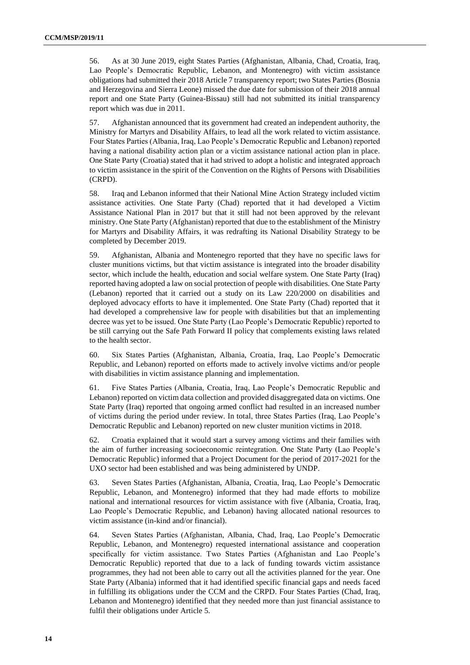56. As at 30 June 2019, eight States Parties (Afghanistan, Albania, Chad, Croatia, Iraq, Lao People's Democratic Republic, Lebanon, and Montenegro) with victim assistance obligations had submitted their 2018 Article 7 transparency report; two States Parties (Bosnia and Herzegovina and Sierra Leone) missed the due date for submission of their 2018 annual report and one State Party (Guinea-Bissau) still had not submitted its initial transparency report which was due in 2011.

57. Afghanistan announced that its government had created an independent authority, the Ministry for Martyrs and Disability Affairs, to lead all the work related to victim assistance. Four States Parties (Albania, Iraq, Lao People's Democratic Republic and Lebanon) reported having a national disability action plan or a victim assistance national action plan in place. One State Party (Croatia) stated that it had strived to adopt a holistic and integrated approach to victim assistance in the spirit of the Convention on the Rights of Persons with Disabilities (CRPD).

58. Iraq and Lebanon informed that their National Mine Action Strategy included victim assistance activities. One State Party (Chad) reported that it had developed a Victim Assistance National Plan in 2017 but that it still had not been approved by the relevant ministry. One State Party (Afghanistan) reported that due to the establishment of the Ministry for Martyrs and Disability Affairs, it was redrafting its National Disability Strategy to be completed by December 2019.

59. Afghanistan, Albania and Montenegro reported that they have no specific laws for cluster munitions victims, but that victim assistance is integrated into the broader disability sector, which include the health, education and social welfare system. One State Party (Iraq) reported having adopted a law on social protection of people with disabilities. One State Party (Lebanon) reported that it carried out a study on its Law 220/2000 on disabilities and deployed advocacy efforts to have it implemented. One State Party (Chad) reported that it had developed a comprehensive law for people with disabilities but that an implementing decree was yet to be issued. One State Party (Lao People's Democratic Republic) reported to be still carrying out the Safe Path Forward II policy that complements existing laws related to the health sector.

60. Six States Parties (Afghanistan, Albania, Croatia, Iraq, Lao People's Democratic Republic, and Lebanon) reported on efforts made to actively involve victims and/or people with disabilities in victim assistance planning and implementation.

61. Five States Parties (Albania, Croatia, Iraq, Lao People's Democratic Republic and Lebanon) reported on victim data collection and provided disaggregated data on victims. One State Party (Iraq) reported that ongoing armed conflict had resulted in an increased number of victims during the period under review. In total, three States Parties (Iraq, Lao People's Democratic Republic and Lebanon) reported on new cluster munition victims in 2018.

62. Croatia explained that it would start a survey among victims and their families with the aim of further increasing socioeconomic reintegration. One State Party (Lao People's Democratic Republic) informed that a Project Document for the period of 2017-2021 for the UXO sector had been established and was being administered by UNDP.

63. Seven States Parties (Afghanistan, Albania, Croatia, Iraq, Lao People's Democratic Republic, Lebanon, and Montenegro) informed that they had made efforts to mobilize national and international resources for victim assistance with five (Albania, Croatia, Iraq, Lao People's Democratic Republic, and Lebanon) having allocated national resources to victim assistance (in-kind and/or financial).

64. Seven States Parties (Afghanistan, Albania, Chad, Iraq, Lao People's Democratic Republic, Lebanon, and Montenegro) requested international assistance and cooperation specifically for victim assistance. Two States Parties (Afghanistan and Lao People's Democratic Republic) reported that due to a lack of funding towards victim assistance programmes, they had not been able to carry out all the activities planned for the year. One State Party (Albania) informed that it had identified specific financial gaps and needs faced in fulfilling its obligations under the CCM and the CRPD. Four States Parties (Chad, Iraq, Lebanon and Montenegro) identified that they needed more than just financial assistance to fulfil their obligations under Article 5.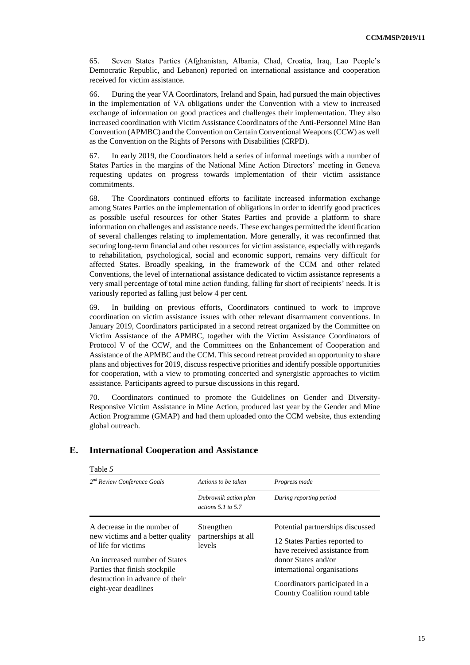65. Seven States Parties (Afghanistan, Albania, Chad, Croatia, Iraq, Lao People's Democratic Republic, and Lebanon) reported on international assistance and cooperation received for victim assistance.

66. During the year VA Coordinators, Ireland and Spain, had pursued the main objectives in the implementation of VA obligations under the Convention with a view to increased exchange of information on good practices and challenges their implementation. They also increased coordination with Victim Assistance Coordinators of the Anti-Personnel Mine Ban Convention (APMBC) and the Convention on Certain Conventional Weapons (CCW) as well as the Convention on the Rights of Persons with Disabilities (CRPD).

67. In early 2019, the Coordinators held a series of informal meetings with a number of States Parties in the margins of the National Mine Action Directors' meeting in Geneva requesting updates on progress towards implementation of their victim assistance commitments.

68. The Coordinators continued efforts to facilitate increased information exchange among States Parties on the implementation of obligations in order to identify good practices as possible useful resources for other States Parties and provide a platform to share information on challenges and assistance needs. These exchanges permitted the identification of several challenges relating to implementation. More generally, it was reconfirmed that securing long-term financial and other resources for victim assistance, especially with regards to rehabilitation, psychological, social and economic support, remains very difficult for affected States. Broadly speaking, in the framework of the CCM and other related Conventions, the level of international assistance dedicated to victim assistance represents a very small percentage of total mine action funding, falling far short of recipients' needs. It is variously reported as falling just below 4 per cent.

69. In building on previous efforts, Coordinators continued to work to improve coordination on victim assistance issues with other relevant disarmament conventions. In January 2019, Coordinators participated in a second retreat organized by the Committee on Victim Assistance of the APMBC, together with the Victim Assistance Coordinators of Protocol V of the CCW, and the Committees on the Enhancement of Cooperation and Assistance of the APMBC and the CCM. This second retreat provided an opportunity to share plans and objectives for 2019, discuss respective priorities and identify possible opportunities for cooperation, with a view to promoting concerted and synergistic approaches to victim assistance. Participants agreed to pursue discussions in this regard.

70. Coordinators continued to promote the Guidelines on Gender and Diversity-Responsive Victim Assistance in Mine Action, produced last year by the Gender and Mine Action Programme (GMAP) and had them uploaded onto the CCM website, thus extending global outreach.

| Table 5                                                                                                                                                                                                             |                                                 |                                                                                                                                                                                                                             |
|---------------------------------------------------------------------------------------------------------------------------------------------------------------------------------------------------------------------|-------------------------------------------------|-----------------------------------------------------------------------------------------------------------------------------------------------------------------------------------------------------------------------------|
| 2 <sup>nd</sup> Review Conference Goals                                                                                                                                                                             | Actions to be taken                             | Progress made                                                                                                                                                                                                               |
|                                                                                                                                                                                                                     | Dubrovnik action plan<br>actions $5.1$ to $5.7$ | During reporting period                                                                                                                                                                                                     |
| A decrease in the number of<br>new victims and a better quality<br>of life for victims<br>An increased number of States<br>Parties that finish stockpile<br>destruction in advance of their<br>eight-year deadlines | Strengthen<br>partnerships at all<br>levels     | Potential partnerships discussed<br>12 States Parties reported to<br>have received assistance from<br>donor States and/or<br>international organisations<br>Coordinators participated in a<br>Country Coalition round table |

## **E. International Cooperation and Assistance**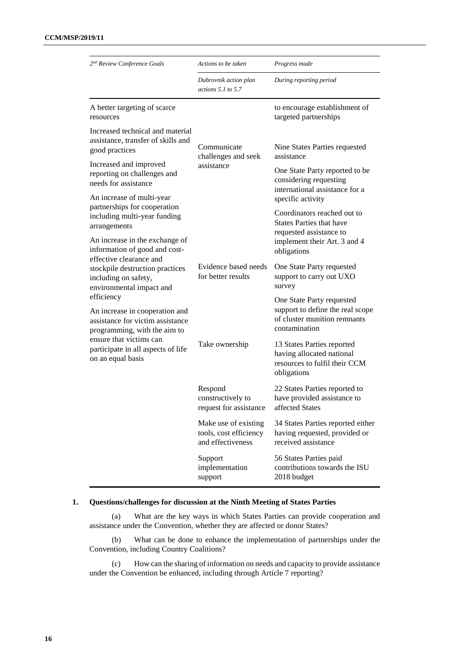| 2 <sup>nd</sup> Review Conference Goals                                                                          | Actions to be taken                                                 | Progress made                                                                                                  |
|------------------------------------------------------------------------------------------------------------------|---------------------------------------------------------------------|----------------------------------------------------------------------------------------------------------------|
|                                                                                                                  | Dubrovnik action plan<br>actions $5.1$ to $5.7$                     | During reporting period                                                                                        |
| A better targeting of scarce<br>resources                                                                        |                                                                     | to encourage establishment of<br>targeted partnerships                                                         |
| Increased technical and material<br>assistance, transfer of skills and<br>good practices                         | Communicate                                                         | Nine States Parties requested<br>assistance                                                                    |
| Increased and improved<br>reporting on challenges and<br>needs for assistance                                    | challenges and seek<br>assistance                                   | One State Party reported to be<br>considering requesting<br>international assistance for a                     |
| An increase of multi-year<br>partnerships for cooperation                                                        | specific activity                                                   |                                                                                                                |
| including multi-year funding<br>arrangements                                                                     |                                                                     | Coordinators reached out to<br><b>States Parties that have</b><br>requested assistance to                      |
| An increase in the exchange of<br>information of good and cost-<br>effective clearance and                       |                                                                     | implement their Art. 3 and 4<br>obligations                                                                    |
| stockpile destruction practices<br>including on safety,<br>environmental impact and                              | Evidence based needs<br>for better results                          | One State Party requested<br>support to carry out UXO<br>survey                                                |
| efficiency<br>An increase in cooperation and<br>assistance for victim assistance<br>programming, with the aim to |                                                                     | One State Party requested<br>support to define the real scope<br>of cluster munition remnants<br>contamination |
| ensure that victims can<br>participate in all aspects of life<br>on an equal basis                               | Take ownership                                                      | 13 States Parties reported<br>having allocated national<br>resources to fulfil their CCM<br>obligations        |
|                                                                                                                  | Respond<br>constructively to<br>request for assistance              | 22 States Parties reported to<br>have provided assistance to<br>affected States                                |
|                                                                                                                  | Make use of existing<br>tools, cost efficiency<br>and effectiveness | 34 States Parties reported either<br>having requested, provided or<br>received assistance                      |
|                                                                                                                  | Support<br>implementation<br>support                                | 56 States Parties paid<br>contributions towards the ISU<br>2018 budget                                         |

(a) What are the key ways in which States Parties can provide cooperation and assistance under the Convention, whether they are affected or donor States?

(b) What can be done to enhance the implementation of partnerships under the Convention, including Country Coalitions?

(c) How can the sharing of information on needs and capacity to provide assistance under the Convention be enhanced, including through Article 7 reporting?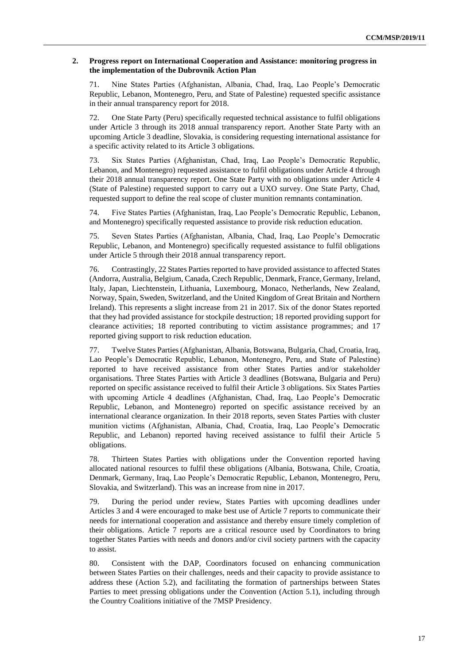#### **2. Progress report on International Cooperation and Assistance: monitoring progress in the implementation of the Dubrovnik Action Plan**

71. Nine States Parties (Afghanistan, Albania, Chad, Iraq, Lao People's Democratic Republic, Lebanon, Montenegro, Peru, and State of Palestine) requested specific assistance in their annual transparency report for 2018.

72. One State Party (Peru) specifically requested technical assistance to fulfil obligations under Article 3 through its 2018 annual transparency report. Another State Party with an upcoming Article 3 deadline, Slovakia, is considering requesting international assistance for a specific activity related to its Article 3 obligations.

73. Six States Parties (Afghanistan, Chad, Iraq, Lao People's Democratic Republic, Lebanon, and Montenegro) requested assistance to fulfil obligations under Article 4 through their 2018 annual transparency report. One State Party with no obligations under Article 4 (State of Palestine) requested support to carry out a UXO survey. One State Party, Chad, requested support to define the real scope of cluster munition remnants contamination.

74. Five States Parties (Afghanistan, Iraq, Lao People's Democratic Republic, Lebanon, and Montenegro) specifically requested assistance to provide risk reduction education.

75. Seven States Parties (Afghanistan, Albania, Chad, Iraq, Lao People's Democratic Republic, Lebanon, and Montenegro) specifically requested assistance to fulfil obligations under Article 5 through their 2018 annual transparency report.

76. Contrastingly, 22 States Parties reported to have provided assistance to affected States (Andorra, Australia, Belgium, Canada, Czech Republic, Denmark, France, Germany, Ireland, Italy, Japan, Liechtenstein, Lithuania, Luxembourg, Monaco, Netherlands, New Zealand, Norway, Spain, Sweden, Switzerland, and the United Kingdom of Great Britain and Northern Ireland). This represents a slight increase from 21 in 2017. Six of the donor States reported that they had provided assistance for stockpile destruction; 18 reported providing support for clearance activities; 18 reported contributing to victim assistance programmes; and 17 reported giving support to risk reduction education.

77. Twelve States Parties (Afghanistan, Albania, Botswana, Bulgaria, Chad, Croatia, Iraq, Lao People's Democratic Republic, Lebanon, Montenegro, Peru, and State of Palestine) reported to have received assistance from other States Parties and/or stakeholder organisations. Three States Parties with Article 3 deadlines (Botswana, Bulgaria and Peru) reported on specific assistance received to fulfil their Article 3 obligations. Six States Parties with upcoming Article 4 deadlines (Afghanistan, Chad, Iraq, Lao People's Democratic Republic, Lebanon, and Montenegro) reported on specific assistance received by an international clearance organization. In their 2018 reports, seven States Parties with cluster munition victims (Afghanistan, Albania, Chad, Croatia, Iraq, Lao People's Democratic Republic, and Lebanon) reported having received assistance to fulfil their Article 5 obligations.

78. Thirteen States Parties with obligations under the Convention reported having allocated national resources to fulfil these obligations (Albania, Botswana, Chile, Croatia, Denmark, Germany, Iraq, Lao People's Democratic Republic, Lebanon, Montenegro, Peru, Slovakia, and Switzerland). This was an increase from nine in 2017.

79. During the period under review, States Parties with upcoming deadlines under Articles 3 and 4 were encouraged to make best use of Article 7 reports to communicate their needs for international cooperation and assistance and thereby ensure timely completion of their obligations. Article 7 reports are a critical resource used by Coordinators to bring together States Parties with needs and donors and/or civil society partners with the capacity to assist.

80. Consistent with the DAP, Coordinators focused on enhancing communication between States Parties on their challenges, needs and their capacity to provide assistance to address these (Action 5.2), and facilitating the formation of partnerships between States Parties to meet pressing obligations under the Convention (Action 5.1), including through the Country Coalitions initiative of the 7MSP Presidency.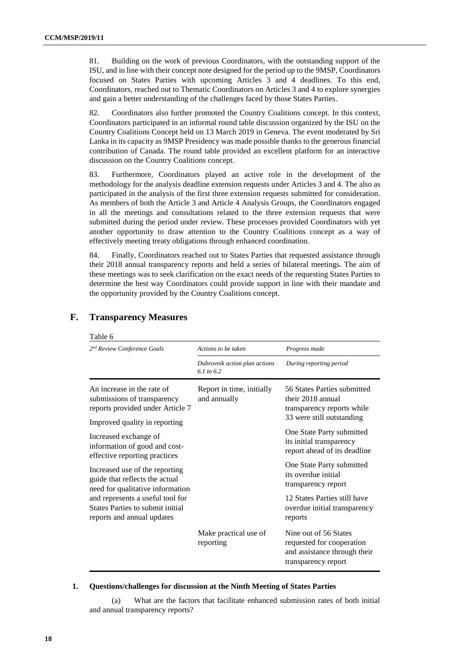81. Building on the work of previous Coordinators, with the outstanding support of the ISU, and in line with their concept note designed for the period up to the 9MSP, Coordinators focused on States Parties with upcoming Articles 3 and 4 deadlines. To this end, Coordinators, reached out to Thematic Coordinators on Articles 3 and 4 to explore synergies and gain a better understanding of the challenges faced by those States Parties.

82. Coordinators also further promoted the Country Coalitions concept. In this context, Coordinators participated in an informal round table discussion organized by the ISU on the Country Coalitions Concept held on 13 March 2019 in Geneva. The event moderated by Sri Lanka in its capacity as 9MSP Presidency was made possible thanks to the generous financial contribution of Canada. The round table provided an excellent platform for an interactive discussion on the Country Coalitions concept.

83. Furthermore, Coordinators played an active role in the development of the methodology for the analysis deadline extension requests under Articles 3 and 4. The also as participated in the analysis of the first three extension requests submitted for consideration. As members of both the Article 3 and Article 4 Analysis Groups, the Coordinators engaged in all the meetings and consultations related to the three extension requests that were submitted during the period under review. These processes provided Coordinators with yet another opportunity to draw attention to the Country Coalitions concept as a way of effectively meeting treaty obligations through enhanced coordination.

84. Finally, Coordinators reached out to States Parties that requested assistance through their 2018 annual transparency reports and held a series of bilateral meetings. The aim of these meetings was to seek clarification on the exact needs of the requesting States Parties to determine the best way Coordinators could provide support in line with their mandate and the opportunity provided by the Country Coalitions concept.

| Table 6                                                                                                                        |                                                        |                                                                                                             |
|--------------------------------------------------------------------------------------------------------------------------------|--------------------------------------------------------|-------------------------------------------------------------------------------------------------------------|
| 2 <sup>nd</sup> Review Conference Goals                                                                                        | Actions to be taken                                    | Progress made                                                                                               |
|                                                                                                                                | Dubrovnik action plan actions<br>$6.1 \text{ to } 6.2$ | During reporting period                                                                                     |
| An increase in the rate of<br>submissions of transparency<br>reports provided under Article 7<br>Improved quality in reporting | Report in time, initially<br>and annually              | 56 States Parties submitted<br>their 2018 annual<br>transparency reports while<br>33 were still outstanding |
| Increased exchange of<br>information of good and cost-<br>effective reporting practices                                        |                                                        | One State Party submitted<br>its initial transparency<br>report ahead of its deadline                       |
| Increased use of the reporting<br>guide that reflects the actual<br>need for qualitative information                           |                                                        | One State Party submitted<br>its overdue initial<br>transparency report                                     |
| and represents a useful tool for<br>States Parties to submit initial<br>reports and annual updates                             |                                                        | 12 States Parties still have<br>overdue initial transparency<br>reports                                     |
|                                                                                                                                | Make practical use of<br>reporting                     | Nine out of 56 States<br>requested for cooperation<br>and assistance through their<br>transparency report   |

## **F. Transparency Measures**

 $T<sub>1</sub>$ 

## **1. Questions/challenges for discussion at the Ninth Meeting of States Parties**

(a) What are the factors that facilitate enhanced submission rates of both initial and annual transparency reports?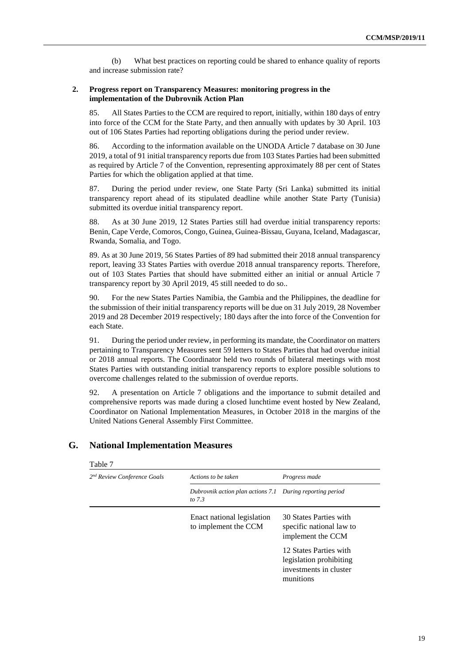(b) What best practices on reporting could be shared to enhance quality of reports and increase submission rate?

#### **2. Progress report on Transparency Measures: monitoring progress in the implementation of the Dubrovnik Action Plan**

85. All States Parties to the CCM are required to report, initially, within 180 days of entry into force of the CCM for the State Party, and then annually with updates by 30 April. 103 out of 106 States Parties had reporting obligations during the period under review.

86. According to the information available on the UNODA Article 7 database on 30 June 2019, a total of 91 initial transparency reports due from 103 States Parties had been submitted as required by Article 7 of the Convention, representing approximately 88 per cent of States Parties for which the obligation applied at that time.

87. During the period under review, one State Party (Sri Lanka) submitted its initial transparency report ahead of its stipulated deadline while another State Party (Tunisia) submitted its overdue initial transparency report.

88. As at 30 June 2019, 12 States Parties still had overdue initial transparency reports: Benin, Cape Verde, Comoros, Congo, Guinea, Guinea-Bissau, Guyana, Iceland, Madagascar, Rwanda, Somalia, and Togo.

89. As at 30 June 2019, 56 States Parties of 89 had submitted their 2018 annual transparency report, leaving 33 States Parties with overdue 2018 annual transparency reports. Therefore, out of 103 States Parties that should have submitted either an initial or annual Article 7 transparency report by 30 April 2019, 45 still needed to do so..

90. For the new States Parties Namibia, the Gambia and the Philippines, the deadline for the submission of their initial transparency reports will be due on 31 July 2019, 28 November 2019 and 28 December 2019 respectively; 180 days after the into force of the Convention for each State.

91. During the period under review, in performing its mandate, the Coordinator on matters pertaining to Transparency Measures sent 59 letters to States Parties that had overdue initial or 2018 annual reports. The Coordinator held two rounds of bilateral meetings with most States Parties with outstanding initial transparency reports to explore possible solutions to overcome challenges related to the submission of overdue reports.

92. A presentation on Article 7 obligations and the importance to submit detailed and comprehensive reports was made during a closed lunchtime event hosted by New Zealand, Coordinator on National Implementation Measures, in October 2018 in the margins of the United Nations General Assembly First Committee.

| $2nd$ Review Conference Goals | Actions to be taken                                                   | Progress made                                                                            |
|-------------------------------|-----------------------------------------------------------------------|------------------------------------------------------------------------------------------|
|                               | Dubrovnik action plan actions 7.1 During reporting period<br>to $7.3$ |                                                                                          |
|                               | Enact national legislation<br>to implement the CCM                    | 30 States Parties with<br>specific national law to<br>implement the CCM                  |
|                               |                                                                       | 12 States Parties with<br>legislation prohibiting<br>investments in cluster<br>munitions |

## **G. National Implementation Measures**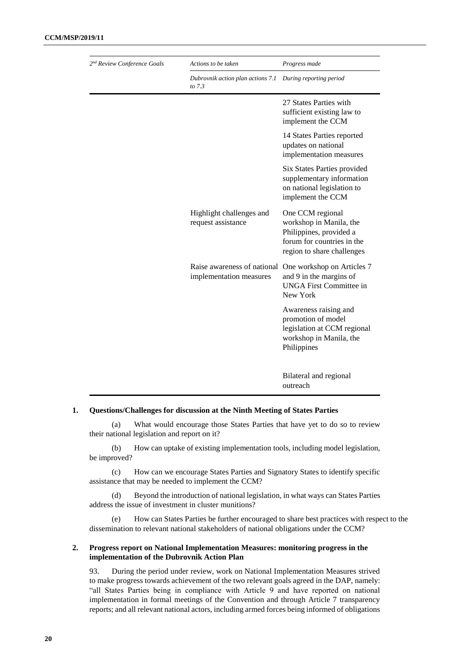| 2 <sup>nd</sup> Review Conference Goals | Actions to be taken                                    | Progress made                                                                                                                      |
|-----------------------------------------|--------------------------------------------------------|------------------------------------------------------------------------------------------------------------------------------------|
|                                         | Dubrovnik action plan actions 7.1<br>to 7.3            | During reporting period                                                                                                            |
|                                         |                                                        | 27 States Parties with<br>sufficient existing law to<br>implement the CCM                                                          |
|                                         |                                                        | 14 States Parties reported<br>updates on national<br>implementation measures                                                       |
|                                         |                                                        | Six States Parties provided<br>supplementary information<br>on national legislation to<br>implement the CCM                        |
|                                         | Highlight challenges and<br>request assistance         | One CCM regional<br>workshop in Manila, the<br>Philippines, provided a<br>forum for countries in the<br>region to share challenges |
|                                         | Raise awareness of national<br>implementation measures | One workshop on Articles 7<br>and 9 in the margins of<br><b>UNGA First Committee in</b><br>New York                                |
|                                         |                                                        | Awareness raising and<br>promotion of model<br>legislation at CCM regional<br>workshop in Manila, the<br>Philippines               |
|                                         |                                                        | Bilateral and regional<br>outreach                                                                                                 |

(a) What would encourage those States Parties that have yet to do so to review their national legislation and report on it?

(b) How can uptake of existing implementation tools, including model legislation, be improved?

(c) How can we encourage States Parties and Signatory States to identify specific assistance that may be needed to implement the CCM?

(d) Beyond the introduction of national legislation, in what ways can States Parties address the issue of investment in cluster munitions?

(e) How can States Parties be further encouraged to share best practices with respect to the dissemination to relevant national stakeholders of national obligations under the CCM?

#### **2. Progress report on National Implementation Measures: monitoring progress in the implementation of the Dubrovnik Action Plan**

93. During the period under review, work on National Implementation Measures strived to make progress towards achievement of the two relevant goals agreed in the DAP, namely: "all States Parties being in compliance with Article 9 and have reported on national implementation in formal meetings of the Convention and through Article 7 transparency reports; and all relevant national actors, including armed forces being informed of obligations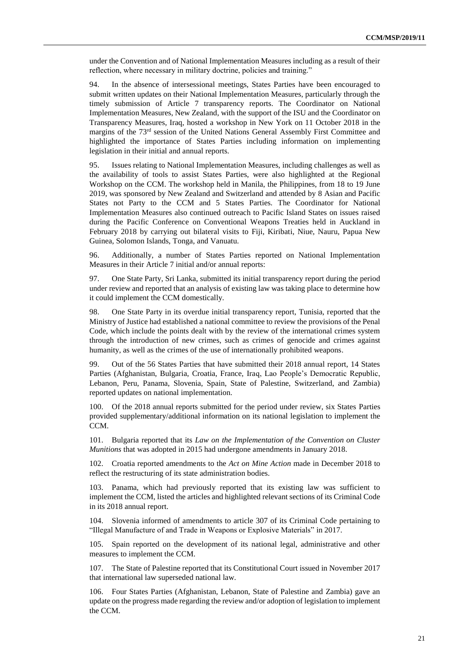under the Convention and of National Implementation Measures including as a result of their reflection, where necessary in military doctrine, policies and training."

94. In the absence of intersessional meetings, States Parties have been encouraged to submit written updates on their National Implementation Measures, particularly through the timely submission of Article 7 transparency reports. The Coordinator on National Implementation Measures, New Zealand, with the support of the ISU and the Coordinator on Transparency Measures, Iraq, hosted a workshop in New York on 11 October 2018 in the margins of the  $73<sup>rd</sup>$  session of the United Nations General Assembly First Committee and highlighted the importance of States Parties including information on implementing legislation in their initial and annual reports.

95. Issues relating to National Implementation Measures, including challenges as well as the availability of tools to assist States Parties, were also highlighted at the Regional Workshop on the CCM. The workshop held in Manila, the Philippines, from 18 to 19 June 2019, was sponsored by New Zealand and Switzerland and attended by 8 Asian and Pacific States not Party to the CCM and 5 States Parties. The Coordinator for National Implementation Measures also continued outreach to Pacific Island States on issues raised during the Pacific Conference on Conventional Weapons Treaties held in Auckland in February 2018 by carrying out bilateral visits to Fiji, Kiribati, Niue, Nauru, Papua New Guinea, Solomon Islands, Tonga, and Vanuatu.

96. Additionally, a number of States Parties reported on National Implementation Measures in their Article 7 initial and/or annual reports:

97. One State Party, Sri Lanka, submitted its initial transparency report during the period under review and reported that an analysis of existing law was taking place to determine how it could implement the CCM domestically.

98. One State Party in its overdue initial transparency report, Tunisia, reported that the Ministry of Justice had established a national committee to review the provisions of the Penal Code, which include the points dealt with by the review of the international crimes system through the introduction of new crimes, such as crimes of genocide and crimes against humanity, as well as the crimes of the use of internationally prohibited weapons.

99. Out of the 56 States Parties that have submitted their 2018 annual report, 14 States Parties (Afghanistan, Bulgaria, Croatia, France, Iraq, Lao People's Democratic Republic, Lebanon, Peru, Panama, Slovenia, Spain, State of Palestine, Switzerland, and Zambia) reported updates on national implementation.

100. Of the 2018 annual reports submitted for the period under review, six States Parties provided supplementary/additional information on its national legislation to implement the CCM.

101. Bulgaria reported that its *Law on the Implementation of the Convention on Cluster Munitions* that was adopted in 2015 had undergone amendments in January 2018.

102. Croatia reported amendments to the *Act on Mine Action* made in December 2018 to reflect the restructuring of its state administration bodies.

103. Panama, which had previously reported that its existing law was sufficient to implement the CCM, listed the articles and highlighted relevant sections of its Criminal Code in its 2018 annual report.

104. Slovenia informed of amendments to article 307 of its Criminal Code pertaining to "Illegal Manufacture of and Trade in Weapons or Explosive Materials" in 2017.

Spain reported on the development of its national legal, administrative and other measures to implement the CCM.

107. The State of Palestine reported that its Constitutional Court issued in November 2017 that international law superseded national law.

106. Four States Parties (Afghanistan, Lebanon, State of Palestine and Zambia) gave an update on the progress made regarding the review and/or adoption of legislation to implement the CCM.